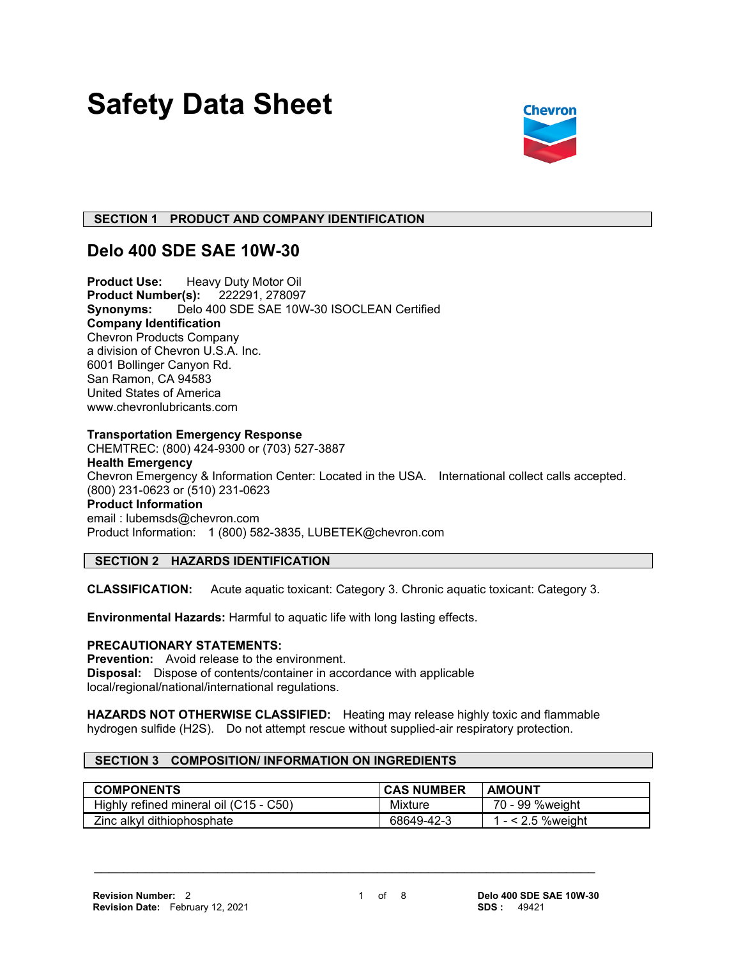# **Safety Data Sheet**



# **SECTION 1 PRODUCT AND COMPANY IDENTIFICATION**

# **Delo 400 SDE SAE 10W-30**

**Product Use:** Heavy Duty Motor Oil<br>**Product Number(s):** 222291, 278097 **Product Number(s): Synonyms:** Delo 400 SDE SAE 10W-30 ISOCLEAN Certified **Company Identification** Chevron Products Company a division of Chevron U.S.A. Inc. 6001 Bollinger Canyon Rd. San Ramon, CA 94583 United States of America www.chevronlubricants.com

# **Transportation Emergency Response**

CHEMTREC: (800) 424-9300 or (703) 527-3887 **Health Emergency** Chevron Emergency & Information Center: Located in the USA. International collect calls accepted. (800) 231-0623 or (510) 231-0623 **Product Information** email : lubemsds@chevron.com Product Information: 1 (800) 582-3835, LUBETEK@chevron.com

# **SECTION 2 HAZARDS IDENTIFICATION**

**CLASSIFICATION:** Acute aquatic toxicant: Category 3. Chronic aquatic toxicant: Category 3.

**Environmental Hazards:** Harmful to aquatic life with long lasting effects.

### **PRECAUTIONARY STATEMENTS:**

**Prevention:** Avoid release to the environment. **Disposal:** Dispose of contents/container in accordance with applicable local/regional/national/international regulations.

**HAZARDS NOT OTHERWISE CLASSIFIED:** Heating may release highly toxic and flammable hydrogen sulfide (H2S). Do not attempt rescue without supplied-air respiratory protection.

 **\_\_\_\_\_\_\_\_\_\_\_\_\_\_\_\_\_\_\_\_\_\_\_\_\_\_\_\_\_\_\_\_\_\_\_\_\_\_\_\_\_\_\_\_\_\_\_\_\_\_\_\_\_\_\_\_\_\_\_\_\_\_\_\_\_\_\_\_\_**

# **SECTION 3 COMPOSITION/ INFORMATION ON INGREDIENTS**

| <b>COMPONENTS</b>                      | <b>CAS NUMBER</b> | <b>AMOUNT</b>        |
|----------------------------------------|-------------------|----------------------|
| Highly refined mineral oil (C15 - C50) | Mixture           | 70 - 99 %weight      |
| Zinc alkyl dithiophosphate             | 68649-42-3        | 1 - $<$ 2.5 % weight |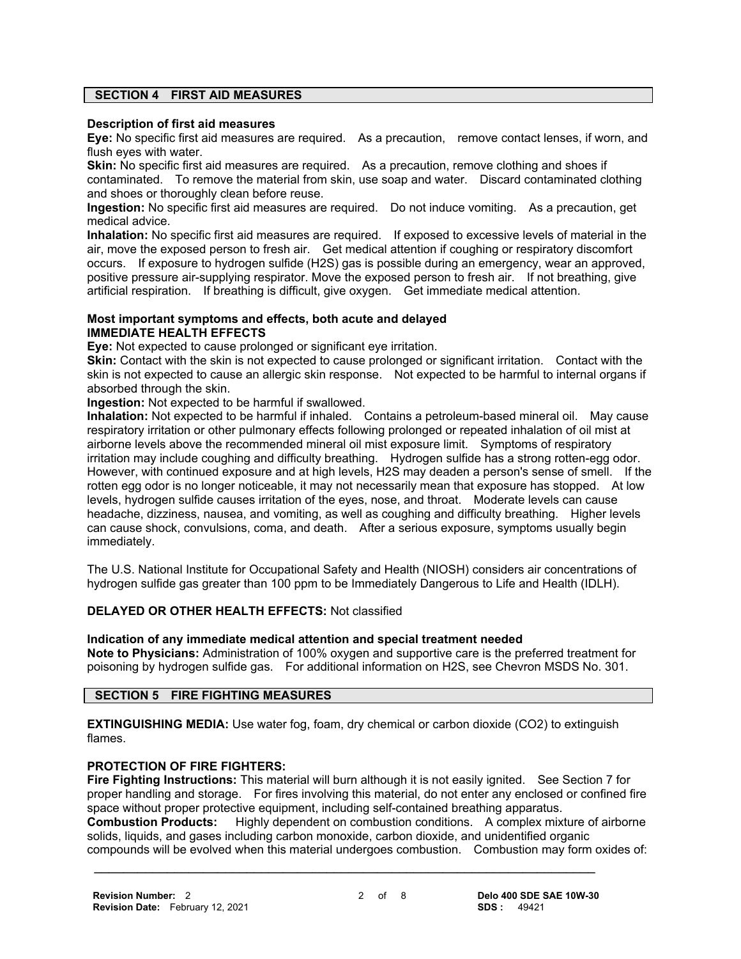# **SECTION 4 FIRST AID MEASURES**

#### **Description of first aid measures**

**Eye:** No specific first aid measures are required. As a precaution, remove contact lenses, if worn, and flush eyes with water.

**Skin:** No specific first aid measures are required. As a precaution, remove clothing and shoes if contaminated. To remove the material from skin, use soap and water. Discard contaminated clothing and shoes or thoroughly clean before reuse.

**Ingestion:** No specific first aid measures are required. Do not induce vomiting. As a precaution, get medical advice.

**Inhalation:** No specific first aid measures are required. If exposed to excessive levels of material in the air, move the exposed person to fresh air. Get medical attention if coughing or respiratory discomfort occurs. If exposure to hydrogen sulfide (H2S) gas is possible during an emergency, wear an approved, positive pressure air-supplying respirator. Move the exposed person to fresh air. If not breathing, give artificial respiration. If breathing is difficult, give oxygen. Get immediate medical attention.

#### **Most important symptoms and effects, both acute and delayed IMMEDIATE HEALTH EFFECTS**

**Eye:** Not expected to cause prolonged or significant eye irritation.

**Skin:** Contact with the skin is not expected to cause prolonged or significant irritation. Contact with the skin is not expected to cause an allergic skin response. Not expected to be harmful to internal organs if absorbed through the skin.

**Ingestion:** Not expected to be harmful if swallowed.

**Inhalation:** Not expected to be harmful if inhaled. Contains a petroleum-based mineral oil. May cause respiratory irritation or other pulmonary effects following prolonged or repeated inhalation of oil mist at airborne levels above the recommended mineral oil mist exposure limit. Symptoms of respiratory irritation may include coughing and difficulty breathing. Hydrogen sulfide has a strong rotten-egg odor. However, with continued exposure and at high levels, H2S may deaden a person's sense of smell. If the rotten egg odor is no longer noticeable, it may not necessarily mean that exposure has stopped. At low levels, hydrogen sulfide causes irritation of the eyes, nose, and throat. Moderate levels can cause headache, dizziness, nausea, and vomiting, as well as coughing and difficulty breathing. Higher levels can cause shock, convulsions, coma, and death. After a serious exposure, symptoms usually begin immediately.

The U.S. National Institute for Occupational Safety and Health (NIOSH) considers air concentrations of hydrogen sulfide gas greater than 100 ppm to be Immediately Dangerous to Life and Health (IDLH).

### **DELAYED OR OTHER HEALTH EFFECTS:** Not classified

### **Indication of any immediate medical attention and special treatment needed**

**Note to Physicians:** Administration of 100% oxygen and supportive care is the preferred treatment for poisoning by hydrogen sulfide gas. For additional information on H2S, see Chevron MSDS No. 301.

# **SECTION 5 FIRE FIGHTING MEASURES**

**EXTINGUISHING MEDIA:** Use water fog, foam, dry chemical or carbon dioxide (CO2) to extinguish flames.

# **PROTECTION OF FIRE FIGHTERS:**

**Fire Fighting Instructions:** This material will burn although it is not easily ignited. See Section 7 for proper handling and storage. For fires involving this material, do not enter any enclosed or confined fire space without proper protective equipment, including self-contained breathing apparatus.

**Combustion Products:** Highly dependent on combustion conditions. A complex mixture of airborne solids, liquids, and gases including carbon monoxide, carbon dioxide, and unidentified organic compounds will be evolved when this material undergoes combustion. Combustion may form oxides of: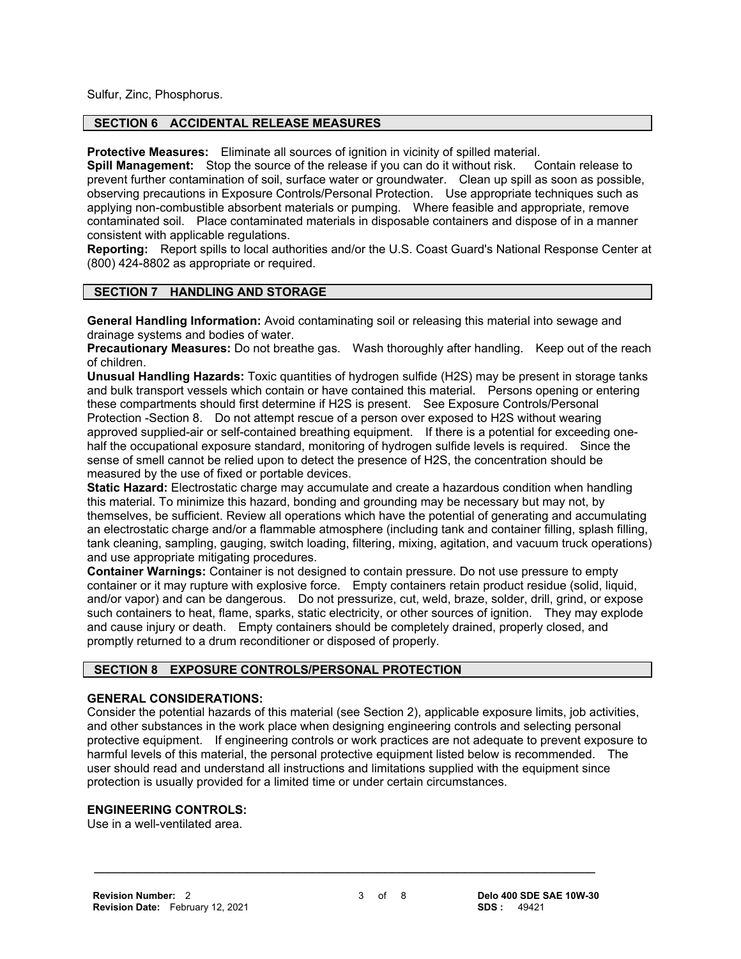Sulfur, Zinc, Phosphorus.

# **SECTION 6 ACCIDENTAL RELEASE MEASURES**

**Protective Measures:** Eliminate all sources of ignition in vicinity of spilled material.

**Spill Management:** Stop the source of the release if you can do it without risk. Contain release to prevent further contamination of soil, surface water or groundwater. Clean up spill as soon as possible, observing precautions in Exposure Controls/Personal Protection. Use appropriate techniques such as applying non-combustible absorbent materials or pumping. Where feasible and appropriate, remove contaminated soil. Place contaminated materials in disposable containers and dispose of in a manner consistent with applicable regulations.

**Reporting:** Report spills to local authorities and/or the U.S. Coast Guard's National Response Center at (800) 424-8802 as appropriate or required.

### **SECTION 7 HANDLING AND STORAGE**

**General Handling Information:** Avoid contaminating soil or releasing this material into sewage and drainage systems and bodies of water.

**Precautionary Measures:** Do not breathe gas. Wash thoroughly after handling. Keep out of the reach of children.

**Unusual Handling Hazards:** Toxic quantities of hydrogen sulfide (H2S) may be present in storage tanks and bulk transport vessels which contain or have contained this material. Persons opening or entering these compartments should first determine if H2S is present. See Exposure Controls/Personal Protection -Section 8. Do not attempt rescue of a person over exposed to H2S without wearing approved supplied-air or self-contained breathing equipment. If there is a potential for exceeding onehalf the occupational exposure standard, monitoring of hydrogen sulfide levels is required. Since the sense of smell cannot be relied upon to detect the presence of H2S, the concentration should be measured by the use of fixed or portable devices.

**Static Hazard:** Electrostatic charge may accumulate and create a hazardous condition when handling this material. To minimize this hazard, bonding and grounding may be necessary but may not, by themselves, be sufficient. Review all operations which have the potential of generating and accumulating an electrostatic charge and/or a flammable atmosphere (including tank and container filling, splash filling, tank cleaning, sampling, gauging, switch loading, filtering, mixing, agitation, and vacuum truck operations) and use appropriate mitigating procedures.

**Container Warnings:** Container is not designed to contain pressure. Do not use pressure to empty container or it may rupture with explosive force. Empty containers retain product residue (solid, liquid, and/or vapor) and can be dangerous. Do not pressurize, cut, weld, braze, solder, drill, grind, or expose such containers to heat, flame, sparks, static electricity, or other sources of ignition. They may explode and cause injury or death. Empty containers should be completely drained, properly closed, and promptly returned to a drum reconditioner or disposed of properly.

# **SECTION 8 EXPOSURE CONTROLS/PERSONAL PROTECTION**

### **GENERAL CONSIDERATIONS:**

Consider the potential hazards of this material (see Section 2), applicable exposure limits, job activities, and other substances in the work place when designing engineering controls and selecting personal protective equipment. If engineering controls or work practices are not adequate to prevent exposure to harmful levels of this material, the personal protective equipment listed below is recommended. The user should read and understand all instructions and limitations supplied with the equipment since protection is usually provided for a limited time or under certain circumstances.

# **ENGINEERING CONTROLS:**

Use in a well-ventilated area.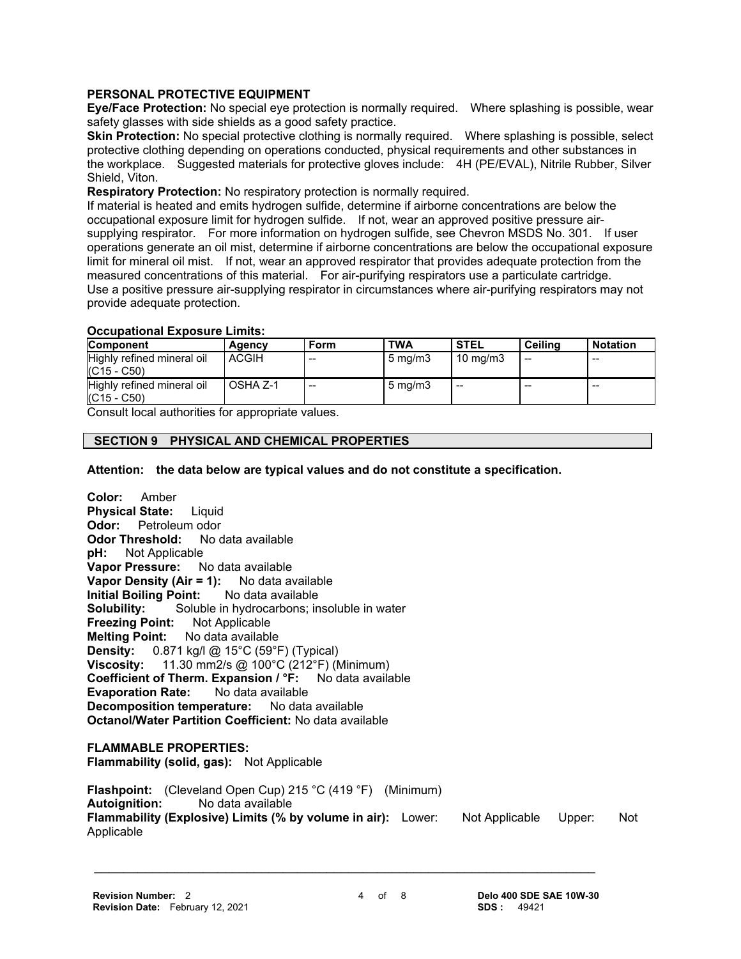# **PERSONAL PROTECTIVE EQUIPMENT**

**Eye/Face Protection:** No special eye protection is normally required. Where splashing is possible, wear safety glasses with side shields as a good safety practice.

**Skin Protection:** No special protective clothing is normally required. Where splashing is possible, select protective clothing depending on operations conducted, physical requirements and other substances in the workplace. Suggested materials for protective gloves include: 4H (PE/EVAL), Nitrile Rubber, Silver Shield, Viton.

**Respiratory Protection:** No respiratory protection is normally required.

If material is heated and emits hydrogen sulfide, determine if airborne concentrations are below the occupational exposure limit for hydrogen sulfide. If not, wear an approved positive pressure airsupplying respirator. For more information on hydrogen sulfide, see Chevron MSDS No. 301. If user operations generate an oil mist, determine if airborne concentrations are below the occupational exposure limit for mineral oil mist. If not, wear an approved respirator that provides adequate protection from the measured concentrations of this material. For air-purifying respirators use a particulate cartridge. Use a positive pressure air-supplying respirator in circumstances where air-purifying respirators may not provide adequate protection.

### **Occupational Exposure Limits:**

| <b>Component</b>                            | Agency       | Form  | <b>TWA</b>       | <b>STEL</b>         | Ceilina | <b>Notation</b> |
|---------------------------------------------|--------------|-------|------------------|---------------------|---------|-----------------|
| Highly refined mineral oil<br>$(C15 - C50)$ | <b>ACGIH</b> | $- -$ | $5 \text{ mg/m}$ | $10 \text{ ma/m}$ 3 | $-$     | $-$             |
| Highly refined mineral oil<br>$(C15 - C50)$ | OSHA Z-1     | $- -$ | $5 \text{ mg/m}$ | $- -$               | $-$     | $- -$           |

Consult local authorities for appropriate values.

# **SECTION 9 PHYSICAL AND CHEMICAL PROPERTIES**

**Attention: the data below are typical values and do not constitute a specification.**

**Color:** Amber **Physical State:** Liquid **Odor:** Petroleum odor<br>**Odor Threshold:** No data available **Odor Threshold: pH:** Not Applicable **Vapor Pressure:** No data available **Vapor Density (Air = 1):** No data available **Initial Boiling Point:** No data available **Solubility:** Soluble in hydrocarbons; insoluble in water **Freezing Point:** Not Applicable **Melting Point:** No data available **Density:** 0.871 kg/l @ 15°C (59°F) (Typical) **Viscosity:** 11.30 mm2/s @ 100°C (212°F) (Minimum) **Coefficient of Therm. Expansion / °F:** No data available<br>**Evaporation Rate:** No data available **Evaporation Rate: Decomposition temperature:** No data available **Octanol/Water Partition Coefficient:** No data available **FLAMMABLE PROPERTIES:**

**Flammability (solid, gas):** Not Applicable

**Flashpoint:** (Cleveland Open Cup) 215 °C (419 °F) (Minimum) **Autoignition:** No data available **Flammability (Explosive) Limits (% by volume in air):** Lower: Not Applicable Upper: Not Applicable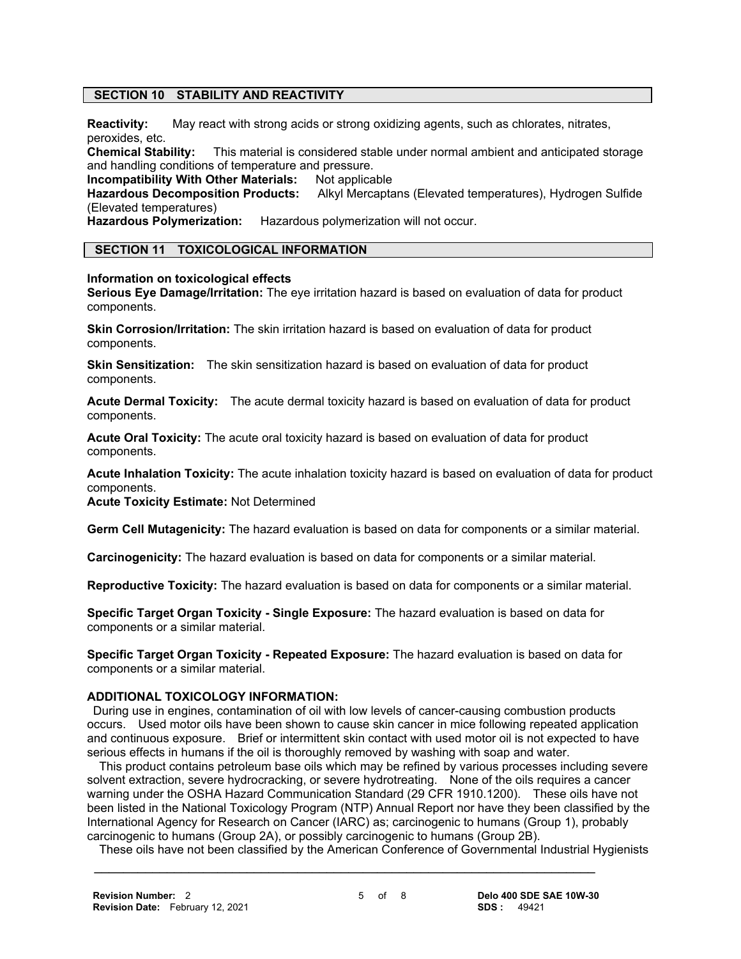# **SECTION 10 STABILITY AND REACTIVITY**

**Reactivity:** May react with strong acids or strong oxidizing agents, such as chlorates, nitrates, peroxides, etc.<br>Chemical Stability:

This material is considered stable under normal ambient and anticipated storage and handling conditions of temperature and pressure.

**Incompatibility With Other Materials: Not applicable Hazardous Decomposition Products: Alkyl Mercapta** 

Alkyl Mercaptans (Elevated temperatures), Hydrogen Sulfide (Elevated temperatures)

**Hazardous Polymerization:** Hazardous polymerization will not occur.

# **SECTION 11 TOXICOLOGICAL INFORMATION**

### **Information on toxicological effects**

**Serious Eye Damage/Irritation:** The eye irritation hazard is based on evaluation of data for product components.

**Skin Corrosion/Irritation:** The skin irritation hazard is based on evaluation of data for product components.

**Skin Sensitization:** The skin sensitization hazard is based on evaluation of data for product components.

**Acute Dermal Toxicity:** The acute dermal toxicity hazard is based on evaluation of data for product components.

**Acute Oral Toxicity:** The acute oral toxicity hazard is based on evaluation of data for product components.

**Acute Inhalation Toxicity:** The acute inhalation toxicity hazard is based on evaluation of data for product components.

**Acute Toxicity Estimate:** Not Determined

**Germ Cell Mutagenicity:** The hazard evaluation is based on data for components or a similar material.

**Carcinogenicity:** The hazard evaluation is based on data for components or a similar material.

**Reproductive Toxicity:** The hazard evaluation is based on data for components or a similar material.

**Specific Target Organ Toxicity - Single Exposure:** The hazard evaluation is based on data for components or a similar material.

**Specific Target Organ Toxicity - Repeated Exposure:** The hazard evaluation is based on data for components or a similar material.

### **ADDITIONAL TOXICOLOGY INFORMATION:**

 During use in engines, contamination of oil with low levels of cancer-causing combustion products occurs. Used motor oils have been shown to cause skin cancer in mice following repeated application and continuous exposure. Brief or intermittent skin contact with used motor oil is not expected to have serious effects in humans if the oil is thoroughly removed by washing with soap and water.

 This product contains petroleum base oils which may be refined by various processes including severe solvent extraction, severe hydrocracking, or severe hydrotreating. None of the oils requires a cancer warning under the OSHA Hazard Communication Standard (29 CFR 1910.1200). These oils have not been listed in the National Toxicology Program (NTP) Annual Report nor have they been classified by the International Agency for Research on Cancer (IARC) as; carcinogenic to humans (Group 1), probably carcinogenic to humans (Group 2A), or possibly carcinogenic to humans (Group 2B).

These oils have not been classified by the American Conference of Governmental Industrial Hygienists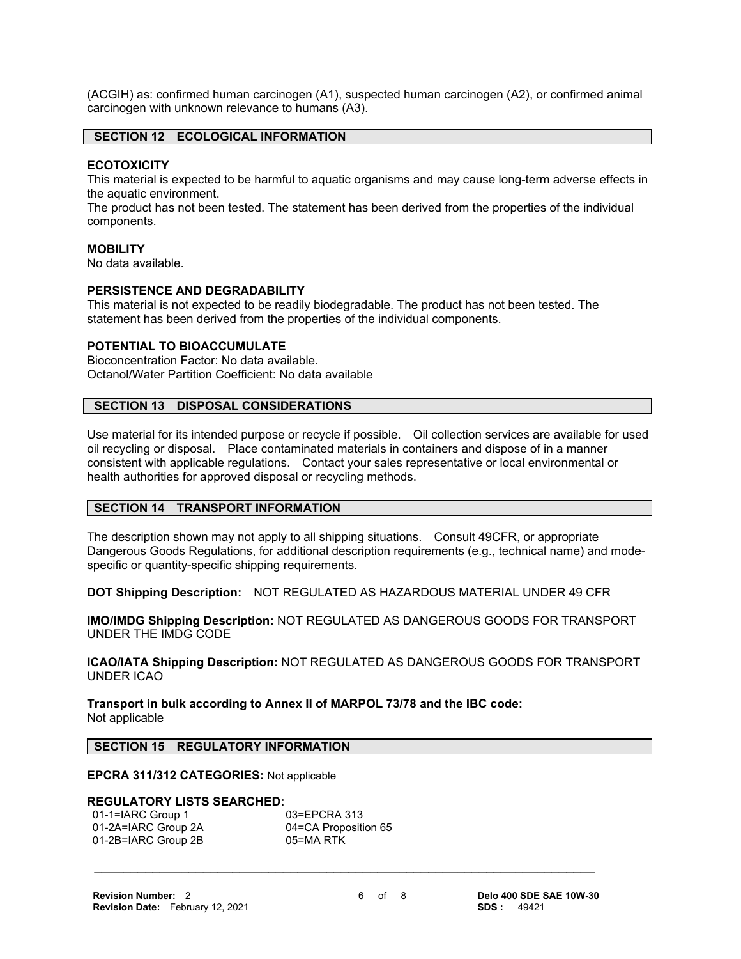(ACGIH) as: confirmed human carcinogen (A1), suspected human carcinogen (A2), or confirmed animal carcinogen with unknown relevance to humans (A3).

## **SECTION 12 ECOLOGICAL INFORMATION**

### **ECOTOXICITY**

This material is expected to be harmful to aquatic organisms and may cause long-term adverse effects in the aquatic environment.

The product has not been tested. The statement has been derived from the properties of the individual components.

#### **MOBILITY**

No data available.

#### **PERSISTENCE AND DEGRADABILITY**

This material is not expected to be readily biodegradable. The product has not been tested. The statement has been derived from the properties of the individual components.

# **POTENTIAL TO BIOACCUMULATE**

Bioconcentration Factor: No data available. Octanol/Water Partition Coefficient: No data available

# **SECTION 13 DISPOSAL CONSIDERATIONS**

Use material for its intended purpose or recycle if possible. Oil collection services are available for used oil recycling or disposal. Place contaminated materials in containers and dispose of in a manner consistent with applicable regulations. Contact your sales representative or local environmental or health authorities for approved disposal or recycling methods.

#### **SECTION 14 TRANSPORT INFORMATION**

The description shown may not apply to all shipping situations. Consult 49CFR, or appropriate Dangerous Goods Regulations, for additional description requirements (e.g., technical name) and modespecific or quantity-specific shipping requirements.

**DOT Shipping Description:** NOT REGULATED AS HAZARDOUS MATERIAL UNDER 49 CFR

**IMO/IMDG Shipping Description:** NOT REGULATED AS DANGEROUS GOODS FOR TRANSPORT UNDER THE IMDG CODE

**ICAO/IATA Shipping Description:** NOT REGULATED AS DANGEROUS GOODS FOR TRANSPORT UNDER ICAO

**Transport in bulk according to Annex II of MARPOL 73/78 and the IBC code:** Not applicable

# **SECTION 15 REGULATORY INFORMATION**

# **EPCRA 311/312 CATEGORIES:** Not applicable

#### **REGULATORY LISTS SEARCHED:**

| 01-1=IARC Group 1   | 03=EPCRA 313         |
|---------------------|----------------------|
| 01-2A=IARC Group 2A | 04=CA Proposition 65 |
| 01-2B=IARC Group 2B | 05=MA RTK            |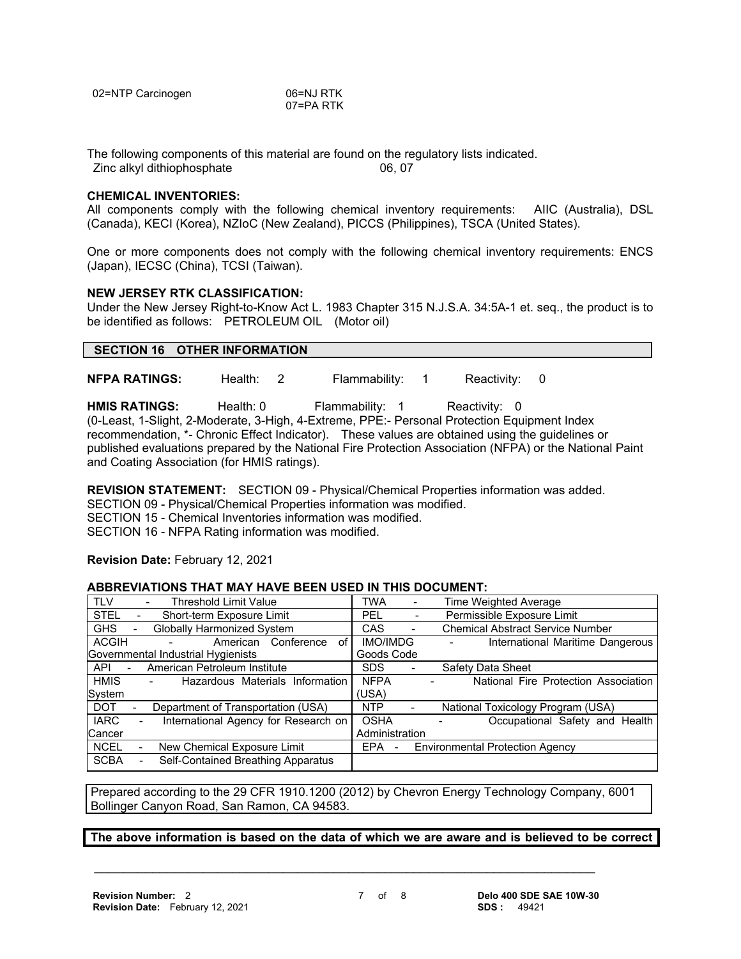| 02=NTP Carcinogen | 06=NJ RTK |
|-------------------|-----------|
|                   | 07=PA RTK |

The following components of this material are found on the regulatory lists indicated. Zinc alkyl dithiophosphate 06, 07

### **CHEMICAL INVENTORIES:**

All components comply with the following chemical inventory requirements: AIIC (Australia), DSL (Canada), KECI (Korea), NZIoC (New Zealand), PICCS (Philippines), TSCA (United States).

One or more components does not comply with the following chemical inventory requirements: ENCS (Japan), IECSC (China), TCSI (Taiwan).

### **NEW JERSEY RTK CLASSIFICATION:**

Under the New Jersey Right-to-Know Act L. 1983 Chapter 315 N.J.S.A. 34:5A-1 et. seq., the product is to be identified as follows: PETROLEUM OIL (Motor oil)

# **SECTION 16 OTHER INFORMATION**

**NFPA RATINGS:** Health: 2 Flammability: 1 Reactivity: 0

**HMIS RATINGS:** Health: 0 Flammability: 1 Reactivity: 0 (0-Least, 1-Slight, 2-Moderate, 3-High, 4-Extreme, PPE:- Personal Protection Equipment Index recommendation, \*- Chronic Effect Indicator). These values are obtained using the guidelines or published evaluations prepared by the National Fire Protection Association (NFPA) or the National Paint and Coating Association (for HMIS ratings).

**REVISION STATEMENT:** SECTION 09 - Physical/Chemical Properties information was added. SECTION 09 - Physical/Chemical Properties information was modified. SECTION 15 - Chemical Inventories information was modified. SECTION 16 - NFPA Rating information was modified.

**Revision Date:** February 12, 2021

#### **ABBREVIATIONS THAT MAY HAVE BEEN USED IN THIS DOCUMENT:**

| <b>TLV</b>            |                          | <b>Threshold Limit Value</b>                                | <b>TWA</b>                      |                              | Time Weighted Average                   |
|-----------------------|--------------------------|-------------------------------------------------------------|---------------------------------|------------------------------|-----------------------------------------|
| <b>STEL</b>           |                          | Short-term Exposure Limit                                   | PEL.                            | $\overline{\phantom{a}}$     | Permissible Exposure Limit              |
| <b>GHS</b>            | $\overline{\phantom{0}}$ | <b>Globally Harmonized System</b>                           | <b>CAS</b>                      | $\blacksquare$               | <b>Chemical Abstract Service Number</b> |
| <b>ACGIH</b>          |                          | American Conference<br>of                                   | <b>IMO/IMDG</b>                 |                              | International Maritime Dangerous        |
|                       |                          | Governmental Industrial Hygienists                          | Goods Code                      |                              |                                         |
| API<br>$\blacksquare$ |                          | American Petroleum Institute                                | SDS.                            |                              | Safety Data Sheet                       |
| <b>HMIS</b>           |                          | Hazardous Materials Information<br>$\overline{\phantom{a}}$ | <b>NFPA</b>                     |                              | National Fire Protection Association    |
| System                |                          |                                                             | (USA)                           |                              |                                         |
| <b>DOT</b>            | -                        | Department of Transportation (USA)                          | <b>NTP</b>                      | $\qquad \qquad \blacksquare$ | National Toxicology Program (USA)       |
| <b>IARC</b>           | $\overline{\phantom{a}}$ | International Agency for Research on                        | <b>OSHA</b>                     |                              | Occupational Safety and Health          |
| Cancer                |                          |                                                             | Administration                  |                              |                                         |
| <b>NCEL</b>           |                          | New Chemical Exposure Limit                                 | EPA<br>$\overline{\phantom{a}}$ |                              | <b>Environmental Protection Agency</b>  |
| <b>SCBA</b>           |                          | Self-Contained Breathing Apparatus                          |                                 |                              |                                         |

Prepared according to the 29 CFR 1910.1200 (2012) by Chevron Energy Technology Company, 6001 Bollinger Canyon Road, San Ramon, CA 94583.

 **\_\_\_\_\_\_\_\_\_\_\_\_\_\_\_\_\_\_\_\_\_\_\_\_\_\_\_\_\_\_\_\_\_\_\_\_\_\_\_\_\_\_\_\_\_\_\_\_\_\_\_\_\_\_\_\_\_\_\_\_\_\_\_\_\_\_\_\_\_**

**The above information is based on the data of which we are aware and is believed to be correct**